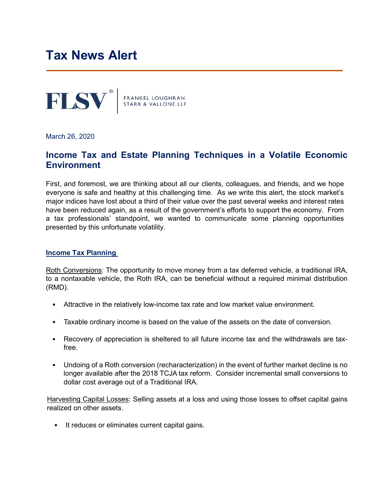# **Tax News Alert**



FRANKEL LOUGHRAN<br>STARR & VALLONE LLP

March 26, 2020

## **Income Tax and Estate Planning Techniques in a Volatile Economic Environment**

First, and foremost, we are thinking about all our clients, colleagues, and friends, and we hope everyone is safe and healthy at this challenging time. As we write this alert, the stock market's major indices have lost about a third of their value over the past several weeks and interest rates have been reduced again, as a result of the government's efforts to support the economy. From a tax professionals' standpoint, we wanted to communicate some planning opportunities presented by this unfortunate volatility.

#### **Income Tax Planning**

Roth Conversions: The opportunity to move money from a tax deferred vehicle, a traditional IRA, to a nontaxable vehicle, the Roth IRA, can be beneficial without a required minimal distribution (RMD).

- Attractive in the relatively low-income tax rate and low market value environment.
- Taxable ordinary income is based on the value of the assets on the date of conversion.
- Recovery of appreciation is sheltered to all future income tax and the withdrawals are taxfree.
- Undoing of a Roth conversion (recharacterization) in the event of further market decline is no longer available after the 2018 TCJA tax reform. Consider incremental small conversions to dollar cost average out of a Traditional IRA.

Harvesting Capital Losses: Selling assets at a loss and using those losses to offset capital gains realized on other assets.

• It reduces or eliminates current capital gains.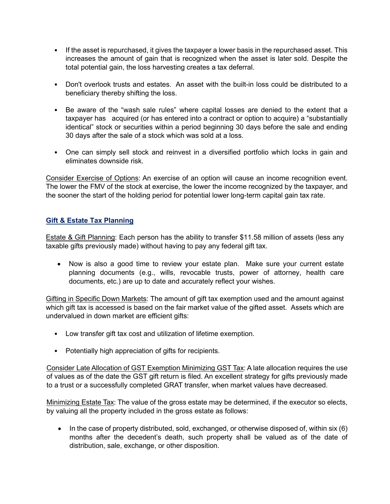- If the asset is repurchased, it gives the taxpayer a lower basis in the repurchased asset. This increases the amount of gain that is recognized when the asset is later sold. Despite the total potential gain, the loss harvesting creates a tax deferral.
- Don't overlook trusts and estates. An asset with the built-in loss could be distributed to a beneficiary thereby shifting the loss.
- Be aware of the "wash sale rules" where capital losses are denied to the extent that a taxpayer has acquired (or has entered into a contract or option to acquire) a "substantially identical" stock or securities within a period beginning 30 days before the sale and ending 30 days after the sale of a stock which was sold at a loss.
- One can simply sell stock and reinvest in a diversified portfolio which locks in gain and eliminates downside risk.

Consider Exercise of Options: An exercise of an option will cause an income recognition event. The lower the FMV of the stock at exercise, the lower the income recognized by the taxpayer, and the sooner the start of the holding period for potential lower long-term capital gain tax rate.

## **Gift & Estate Tax Planning**

Estate & Gift Planning: Each person has the ability to transfer \$11.58 million of assets (less any taxable gifts previously made) without having to pay any federal gift tax.

• Now is also a good time to review your estate plan. Make sure your current estate planning documents (e.g., wills, revocable trusts, power of attorney, health care documents, etc.) are up to date and accurately reflect your wishes.

Gifting in Specific Down Markets: The amount of gift tax exemption used and the amount against which gift tax is accessed is based on the fair market value of the gifted asset. Assets which are undervalued in down market are efficient gifts:

- Low transfer gift tax cost and utilization of lifetime exemption.
- Potentially high appreciation of gifts for recipients.

Consider Late Allocation of GST Exemption Minimizing GST Tax: A late allocation requires the use of values as of the date the GST gift return is filed. An excellent strategy for gifts previously made to a trust or a successfully completed GRAT transfer, when market values have decreased.

Minimizing Estate Tax: The value of the gross estate may be determined, if the executor so elects, by valuing all the property included in the gross estate as follows:

• In the case of property distributed, sold, exchanged, or otherwise disposed of, within six (6) months after the decedent's death, such property shall be valued as of the date of distribution, sale, exchange, or other disposition.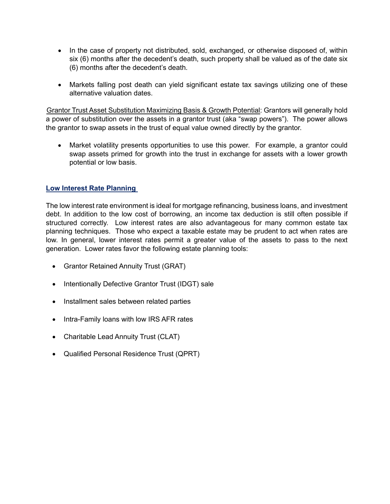- In the case of property not distributed, sold, exchanged, or otherwise disposed of, within six (6) months after the decedent's death, such property shall be valued as of the date six (6) months after the decedent's death.
- Markets falling post death can yield significant estate tax savings utilizing one of these alternative valuation dates.

Grantor Trust Asset Substitution Maximizing Basis & Growth Potential: Grantors will generally hold a power of substitution over the assets in a grantor trust (aka "swap powers"). The power allows the grantor to swap assets in the trust of equal value owned directly by the grantor.

• Market volatility presents opportunities to use this power. For example, a grantor could swap assets primed for growth into the trust in exchange for assets with a lower growth potential or low basis.

### **Low Interest Rate Planning**

The low interest rate environment is ideal for mortgage refinancing, business loans, and investment debt. In addition to the low cost of borrowing, an income tax deduction is still often possible if structured correctly. Low interest rates are also advantageous for many common estate tax planning techniques. Those who expect a taxable estate may be prudent to act when rates are low. In general, lower interest rates permit a greater value of the assets to pass to the next generation. Lower rates favor the following estate planning tools:

- Grantor Retained Annuity Trust (GRAT)
- Intentionally Defective Grantor Trust (IDGT) sale
- Installment sales between related parties
- Intra-Family loans with low IRS AFR rates
- Charitable Lead Annuity Trust (CLAT)
- Qualified Personal Residence Trust (QPRT)